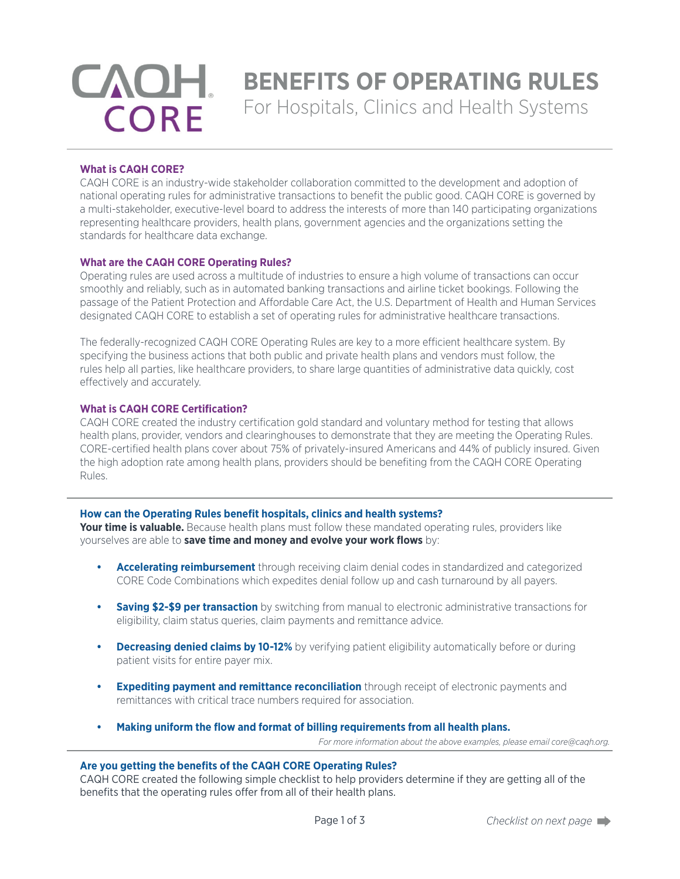# **CAOH CORE**

## **BENEFITS OF OPERATING RULES**

For Hospitals, Clinics and Health Systems

#### **What is CAQH CORE?**

CAQH CORE is an industry-wide stakeholder collaboration committed to the development and adoption of national operating rules for administrative transactions to benefit the public good. CAQH CORE is governed by a multi-stakeholder, executive-level board to address the interests of more than 140 participating organizations representing healthcare providers, health plans, government agencies and the organizations setting the standards for healthcare data exchange.

#### **What are the CAQH CORE Operating Rules?**

Operating rules are used across a multitude of industries to ensure a high volume of transactions can occur smoothly and reliably, such as in automated banking transactions and airline ticket bookings. Following the passage of the Patient Protection and Affordable Care Act, the U.S. Department of Health and Human Services designated CAQH CORE to establish a set of operating rules for administrative healthcare transactions.

The federally-recognized CAQH CORE Operating Rules are key to a more efficient healthcare system. By specifying the business actions that both public and private health plans and vendors must follow, the rules help all parties, like healthcare providers, to share large quantities of administrative data quickly, cost effectively and accurately.

#### **What is CAQH CORE Certification?**

CAQH CORE created the industry certification gold standard and voluntary method for testing that allows health plans, provider, vendors and clearinghouses to demonstrate that they are meeting the Operating Rules. CORE-certified health plans cover about 75% of privately-insured Americans and 44% of publicly insured. Given the high adoption rate among health plans, providers should be benefiting from the CAQH CORE Operating Rules.

#### **How can the Operating Rules benefit hospitals, clinics and health systems?**

**Your time is valuable.** Because health plans must follow these mandated operating rules, providers like yourselves are able to **save time and money and evolve your work flows** by:

- **• Accelerating reimbursement** through receiving claim denial codes in standardized and categorized CORE Code Combinations which expedites denial follow up and cash turnaround by all payers.
- **• Saving \$2-\$9 per transaction** by switching from manual to electronic administrative transactions for eligibility, claim status queries, claim payments and remittance advice.
- **• Decreasing denied claims by 10-12%** by verifying patient eligibility automatically before or during patient visits for entire payer mix.
- **• Expediting payment and remittance reconciliation** through receipt of electronic payments and remittances with critical trace numbers required for association.
- **• Making uniform the flow and format of billing requirements from all health plans.** *For more information about the above examples, please email core@caqh.org.*

#### **Are you getting the benefits of the CAQH CORE Operating Rules?**

CAQH CORE created the following simple checklist to help providers determine if they are getting all of the benefits that the operating rules offer from all of their health plans.

Page 1 of 3 *Checklist on next page*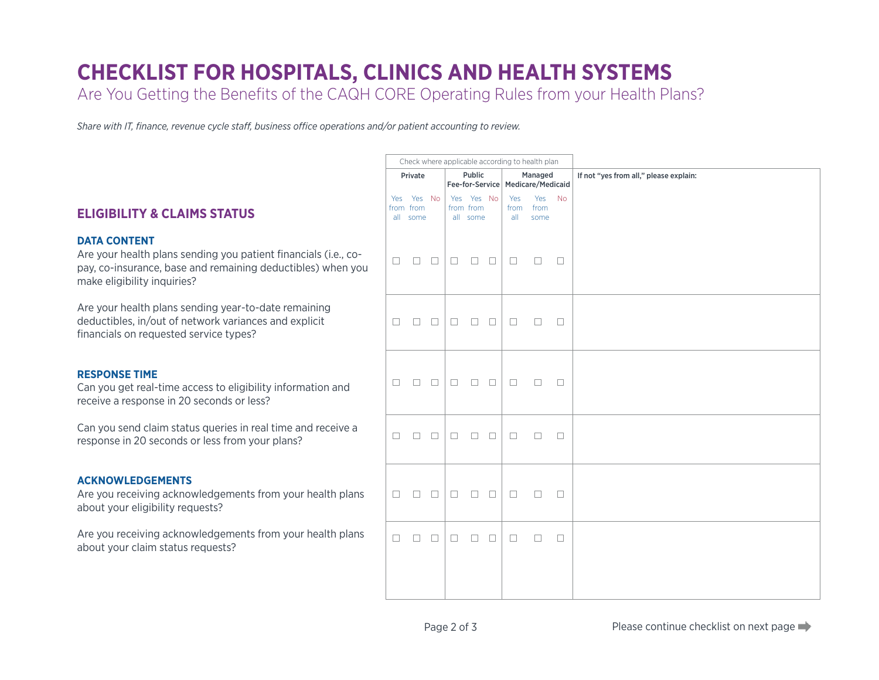### **CHECKLIST FOR HOSPITALS, CLINICS AND HEALTH SYSTEMS**

Are You Getting the Benefits of the CAQH CORE Operating Rules from your Health Plans?

*Share with IT, finance, revenue cycle staff, business office operations and/or patient accounting to review.*

|                                                                                                                                                                                      | Check where applicable according to health plan |                                 |        |                                                |                                     |        |                                        |                        |        |  |
|--------------------------------------------------------------------------------------------------------------------------------------------------------------------------------------|-------------------------------------------------|---------------------------------|--------|------------------------------------------------|-------------------------------------|--------|----------------------------------------|------------------------|--------|--|
|                                                                                                                                                                                      | Public<br>Private                               |                                 |        | Managed<br>Fee-for-Service   Medicare/Medicaid |                                     |        | If not "yes from all," please explain: |                        |        |  |
| <b>ELIGIBILITY &amp; CLAIMS STATUS</b>                                                                                                                                               | Yes                                             | Yes No<br>from from<br>all some |        |                                                | Yes Yes No<br>from from<br>all some |        | Yes<br>from<br>all                     | Yes No<br>from<br>some |        |  |
| <b>DATA CONTENT</b><br>Are your health plans sending you patient financials (i.e., co-<br>pay, co-insurance, base and remaining deductibles) when you<br>make eligibility inquiries? | $\Box$                                          | $\Box$                          | $\Box$ | $\Box$                                         | $\Box$                              | $\Box$ | $\Box$                                 | $\Box$                 | $\Box$ |  |
| Are your health plans sending year-to-date remaining<br>deductibles, in/out of network variances and explicit<br>financials on requested service types?                              | $\Box$                                          | $\Box$                          | $\Box$ | $\Box$                                         | $\Box$                              | $\Box$ | □                                      | $\Box$                 | $\Box$ |  |
| <b>RESPONSE TIME</b><br>Can you get real-time access to eligibility information and<br>receive a response in 20 seconds or less?                                                     | $\Box$                                          | $\Box$                          | $\Box$ | $\Box$                                         | $\Box$                              | $\Box$ | $\Box$                                 | $\Box$                 | $\Box$ |  |
| Can you send claim status queries in real time and receive a<br>response in 20 seconds or less from your plans?                                                                      | $\Box$                                          | $\Box$                          | $\Box$ | $\Box$                                         | $\Box$                              | $\Box$ | $\Box$                                 | $\Box$                 | $\Box$ |  |
| <b>ACKNOWLEDGEMENTS</b><br>Are you receiving acknowledgements from your health plans<br>about your eligibility requests?                                                             | $\Box$                                          | $\Box$                          | $\Box$ | $\Box$                                         | $\Box$                              | $\Box$ | $\Box$                                 | $\Box$                 | $\Box$ |  |
| Are you receiving acknowledgements from your health plans<br>about your claim status requests?                                                                                       | $\Box$                                          | $\Box$                          | $\Box$ | $\Box$                                         | $\Box$                              | $\Box$ | $\Box$                                 | $\Box$                 | $\Box$ |  |
|                                                                                                                                                                                      |                                                 |                                 |        |                                                |                                     |        |                                        |                        |        |  |